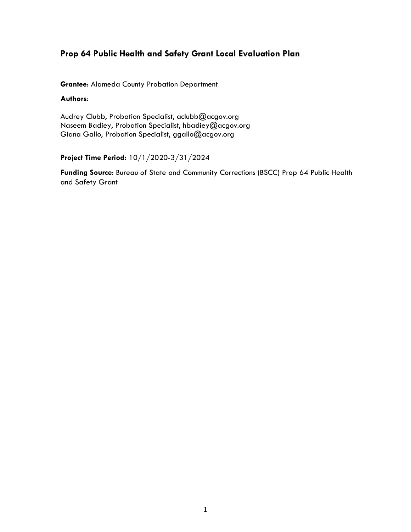# **Prop 64 Public Health and Safety Grant Local Evaluation Plan**

**Grantee**: Alameda County Probation Department

## **Authors**:

Audrey Clubb, Probation Specialist, aclubb@acgov.org Naseem Badiey, Probation Specialist, hbadiey@acgov.org Giana Gallo, Probation Specialist, ggallo@acgov.org

**Project Time Period:** 10/1/2020-3/31/2024

**Funding Source**: Bureau of State and Community Corrections (BSCC) Prop 64 Public Health and Safety Grant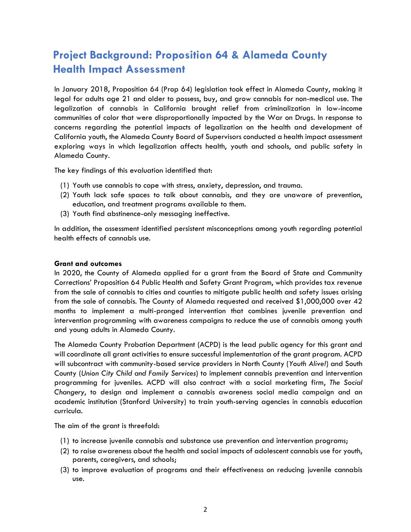# **Project Background: Proposition 64 & Alameda County Health Impact Assessment**

In January 2018, Proposition 64 (Prop 64) legislation took effect in Alameda County, making it legal for adults age 21 and older to possess, buy, and grow cannabis for non-medical use. The legalization of cannabis in California brought relief from criminalization in low-income communities of color that were disproportionally impacted by the War on Drugs. In response to concerns regarding the potential impacts of legalization on the health and development of California youth, the Alameda County Board of Supervisors conducted a health impact assessment exploring ways in which legalization affects health, youth and schools, and public safety in Alameda County.

The key findings of this evaluation identified that:

- (1) Youth use cannabis to cope with stress, anxiety, depression, and trauma.
- (2) Youth lack safe spaces to talk about cannabis, and they are unaware of prevention, education, and treatment programs available to them.
- (3) Youth find abstinence-only messaging ineffective.

In addition, the assessment identified persistent misconceptions among youth regarding potential health effects of cannabis use.

#### **Grant and outcomes**

In 2020, the County of Alameda applied for a grant from the Board of State and Community Corrections' Proposition 64 Public Health and Safety Grant Program, which provides tax revenue from the sale of cannabis to cities and counties to mitigate public health and safety issues arising from the sale of cannabis. The County of Alameda requested and received \$1,000,000 over 42 months to implement a multi-pronged intervention that combines juvenile prevention and intervention programming with awareness campaigns to reduce the use of cannabis among youth and young adults in Alameda County.

The Alameda County Probation Department (ACPD) is the lead public agency for this grant and will coordinate all grant activities to ensure successful implementation of the grant program. ACPD will subcontract with community-based service providers in North County (*Youth Alive!*) and South County (*Union City Child and Family Services*) to implement cannabis prevention and intervention programming for juveniles. ACPD will also contract with a social marketing firm, *The Social Changery*, to design and implement a cannabis awareness social media campaign and an academic institution (Stanford University) to train youth-serving agencies in cannabis education curricula.

The aim of the grant is threefold:

- (1) to increase juvenile cannabis and substance use prevention and intervention programs;
- (2) to raise awareness about the health and social impacts of adolescent cannabis use for youth, parents, caregivers, and schools;
- (3) to improve evaluation of programs and their effectiveness on reducing juvenile cannabis use.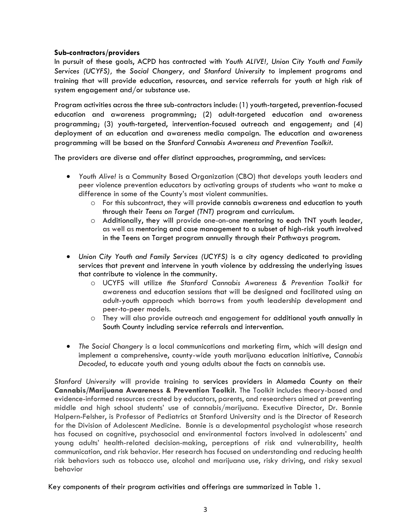## **Sub-contractors/providers**

In pursuit of these goals, ACPD has contracted with *Youth ALIVE!, Union City Youth and Family Services (UCYFS),* the *Social Changery, and Stanford University* to implement programs and training that will provide education, resources, and service referrals for youth at high risk of system engagement and/or substance use.

Program activities across the three sub-contractors include: (1) youth-targeted, prevention-focused education and awareness programming; (2) adult-targeted education and awareness programming; (3) youth-targeted, intervention-focused outreach and engagement; and (4) deployment of an education and awareness media campaign. The education and awareness programming will be based on the *Stanford Cannabis Awareness and Prevention Toolkit*.

The providers are diverse and offer distinct approaches, programming, and services:

- *Youth Alive!* is a Community Based Organization (CBO) that develops youth leaders and peer violence prevention educators by activating groups of students who want to make a difference in some of the County's most violent communities.
	- o For this subcontract, they will provide cannabis awareness and education to youth through their *Teens on Target (TNT)* program and curriculum.
	- o Additionally, they will provide one-on-one mentoring to each TNT youth leader, as well as mentoring and case management to a subset of high-risk youth involved in the Teens on Target program annually through their Pathways program.
- *Union City Youth and Family Services (UCYFS)* is a city agency dedicated to providing services that prevent and intervene in youth violence by addressing the underlying issues that contribute to violence in the community.
	- o UCYFS will utilize *the Stanford Cannabis Awareness & Prevention Toolkit* for awareness and education sessions that will be designed and facilitated using an adult-youth approach which borrows from youth leadership development and peer-to-peer models.
	- o They will also provide outreach and engagement for additional youth annually in South County including service referrals and intervention.
- *The Social Changery* is a local communications and marketing firm, which will design and implement a comprehensive, county-wide youth marijuana education initiative, *Cannabis Decoded*, to educate youth and young adults about the facts on cannabis use.

*Stanford University* will provide training to services providers in Alameda County on their **Cannabis/Marijuana Awareness & Prevention Toolkit.** The Toolkit includes theory-based and evidence-informed resources created by educators, parents, and researchers aimed at preventing middle and high school students' use of cannabis/marijuana. Executive Director, Dr. Bonnie Halpern-Felsher, is Professor of Pediatrics at Stanford University and is the Director of Research for the Division of Adolescent Medicine. Bonnie is a developmental psychologist whose research has focused on cognitive, psychosocial and environmental factors involved in adolescents' and young adults' health-related decision-making, perceptions of risk and vulnerability, health communication, and risk behavior. Her research has focused on understanding and reducing health risk behaviors such as tobacco use, alcohol and marijuana use, risky driving, and risky sexual behavior

Key components of their program activities and offerings are summarized in Table 1.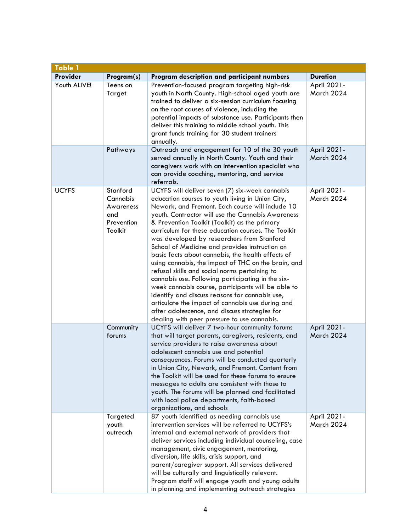| <b>Table 1</b> |                                                                   |                                                                                                                                                                                                                                                                                                                                                                                                                                                                                                                                                                                                                                                                                                                                                                                                                                                                                                   |                           |  |  |
|----------------|-------------------------------------------------------------------|---------------------------------------------------------------------------------------------------------------------------------------------------------------------------------------------------------------------------------------------------------------------------------------------------------------------------------------------------------------------------------------------------------------------------------------------------------------------------------------------------------------------------------------------------------------------------------------------------------------------------------------------------------------------------------------------------------------------------------------------------------------------------------------------------------------------------------------------------------------------------------------------------|---------------------------|--|--|
| Provider       | Program(s)                                                        | Program description and participant numbers                                                                                                                                                                                                                                                                                                                                                                                                                                                                                                                                                                                                                                                                                                                                                                                                                                                       | <b>Duration</b>           |  |  |
| Youth ALIVE!   | Teens on<br>Target                                                | Prevention-focused program targeting high-risk<br>youth in North County. High-school aged youth are<br>trained to deliver a six-session curriculum focusing<br>on the root causes of violence, including the<br>potential impacts of substance use. Participants then<br>deliver this training to middle school youth. This<br>grant funds training for 30 student trainers<br>annually.                                                                                                                                                                                                                                                                                                                                                                                                                                                                                                          | April 2021-<br>March 2024 |  |  |
|                | Pathways                                                          | Outreach and engagement for 10 of the 30 youth<br>served annually in North County. Youth and their<br>caregivers work with an intervention specialist who<br>can provide coaching, mentoring, and service<br>referrals.                                                                                                                                                                                                                                                                                                                                                                                                                                                                                                                                                                                                                                                                           | April 2021-<br>March 2024 |  |  |
| <b>UCYFS</b>   | Stanford<br>Cannabis<br>Awareness<br>and<br>Prevention<br>Toolkit | UCYFS will deliver seven (7) six-week cannabis<br>education courses to youth living in Union City,<br>Newark, and Fremont. Each course will include 10<br>youth. Contractor will use the Cannabis Awareness<br>& Prevention Toolkit (Toolkit) as the primary<br>curriculum for these education courses. The Toolkit<br>was developed by researchers from Stanford<br>School of Medicine and provides instruction on<br>basic facts about cannabis, the health effects of<br>using cannabis, the impact of THC on the brain, and<br>refusal skills and social norms pertaining to<br>cannabis use. Following participating in the six-<br>week cannabis course, participants will be able to<br>identify and discuss reasons for cannabis use,<br>articulate the impact of cannabis use during and<br>after adolescence, and discuss strategies for<br>dealing with peer pressure to use cannabis. | April 2021-<br>March 2024 |  |  |
|                | Community<br>forums                                               | UCYFS will deliver 7 two-hour community forums<br>that will target parents, caregivers, residents, and<br>service providers to raise awareness about<br>adolescent cannabis use and potential<br>consequences. Forums will be conducted quarterly<br>in Union City, Newark, and Fremont. Content from<br>the Toolkit will be used for these forums to ensure<br>messages to adults are consistent with those to<br>youth. The forums will be planned and facilitated<br>with local police departments, faith-based<br>organizations, and schools                                                                                                                                                                                                                                                                                                                                                  | April 2021-<br>March 2024 |  |  |
|                | Targeted<br>youth<br>outreach                                     | 87 youth identified as needing cannabis use<br>intervention services will be referred to UCYFS's<br>internal and external network of providers that<br>deliver services including individual counseling, case<br>management, civic engagement, mentoring,<br>diversion, life skills, crisis support, and<br>parent/caregiver support. All services delivered<br>will be culturally and linguistically relevant.<br>Program staff will engage youth and young adults<br>in planning and implementing outreach strategies                                                                                                                                                                                                                                                                                                                                                                           | April 2021-<br>March 2024 |  |  |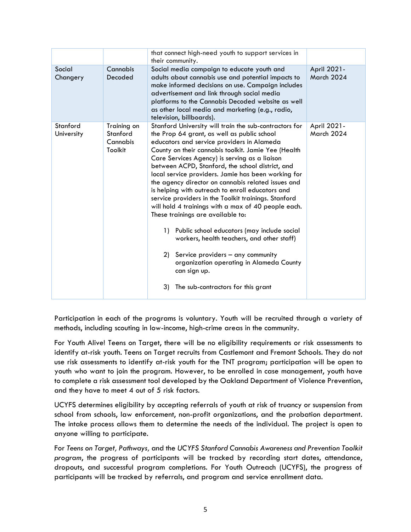|                        |                                                | that connect high-need youth to support services in<br>their community.                                                                                                                                                                                                                                                                                                                                                                                                                                                                                                                                                                                                                                                                                                                                                                                                                 |                           |
|------------------------|------------------------------------------------|-----------------------------------------------------------------------------------------------------------------------------------------------------------------------------------------------------------------------------------------------------------------------------------------------------------------------------------------------------------------------------------------------------------------------------------------------------------------------------------------------------------------------------------------------------------------------------------------------------------------------------------------------------------------------------------------------------------------------------------------------------------------------------------------------------------------------------------------------------------------------------------------|---------------------------|
| Social<br>Changery     | Cannabis<br>Decoded                            | Social media campaign to educate youth and<br>adults about cannabis use and potential impacts to<br>make informed decisions on use. Campaign includes<br>advertisement and link through social media<br>platforms to the Cannabis Decoded website as well<br>as other local media and marketing (e.g., radio,<br>television, billboards).                                                                                                                                                                                                                                                                                                                                                                                                                                                                                                                                               | April 2021-<br>March 2024 |
| Stanford<br>University | Training on<br>Stanford<br>Cannabis<br>Toolkit | Stanford University will train the sub-contractors for<br>the Prop 64 grant, as well as public school<br>educators and service providers in Alameda<br>County on their cannabis toolkit. Jamie Yee (Health<br>Care Services Agency) is serving as a liaison<br>between ACPD, Stanford, the school district, and<br>local service providers. Jamie has been working for<br>the agency director on cannabis related issues and<br>is helping with outreach to enroll educators and<br>service providers in the Toolkit trainings. Stanford<br>will hold 4 trainings with a max of 40 people each.<br>These trainings are available to:<br>Public school educators (may include social<br>1)<br>workers, health teachers, and other staff)<br>2) Service providers - any community<br>organization operating in Alameda County<br>can sign up.<br>3)<br>The sub-contractors for this grant | April 2021-<br>March 2024 |
|                        |                                                |                                                                                                                                                                                                                                                                                                                                                                                                                                                                                                                                                                                                                                                                                                                                                                                                                                                                                         |                           |

Participation in each of the programs is voluntary. Youth will be recruited through a variety of methods, including scouting in low-income, high-crime areas in the community.

For Youth Alive! Teens on Target, there will be no eligibility requirements or risk assessments to identify at-risk youth. Teens on Target recruits from Castlemont and Fremont Schools. They do not use risk assessments to identify at-risk youth for the TNT program; participation will be open to youth who want to join the program. However, to be enrolled in case management, youth have to complete a risk assessment tool developed by the Oakland Department of Violence Prevention, and they have to meet 4 out of 5 risk factors.

UCYFS determines eligibility by accepting referrals of youth at risk of truancy or suspension from school from schools, law enforcement, non-profit organizations, and the probation department. The intake process allows them to determine the needs of the individual. The project is open to anyone willing to participate.

For *Teens on Target, Pathways,* and the *UCYFS Stanford Cannabis Awareness and Prevention Toolkit program*, the progress of participants will be tracked by recording start dates, attendance, dropouts, and successful program completions. For Youth Outreach (UCYFS), the progress of participants will be tracked by referrals, and program and service enrollment data.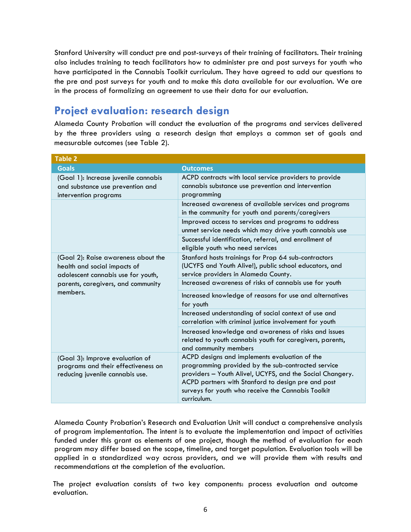Stanford University will conduct pre and post-surveys of their training of facilitators. Their training also includes training to teach facilitators how to administer pre and post surveys for youth who have participated in the Cannabis Toolkit curriculum. They have agreed to add our questions to the pre and post surveys for youth and to make this data available for our evaluation. We are in the process of formalizing an agreement to use their data for our evaluation.

# **Project evaluation: research design**

Alameda County Probation will conduct the evaluation of the programs and services delivered by the three providers using a research design that employs a common set of goals and measurable outcomes (see Table 2).

| <b>Table 2</b>                                                                                            |                                                                                                                                                                                                                                                                                             |  |  |  |  |
|-----------------------------------------------------------------------------------------------------------|---------------------------------------------------------------------------------------------------------------------------------------------------------------------------------------------------------------------------------------------------------------------------------------------|--|--|--|--|
| <b>Goals</b>                                                                                              | <b>Outcomes</b>                                                                                                                                                                                                                                                                             |  |  |  |  |
| (Goal 1): Increase juvenile cannabis<br>and substance use prevention and<br>intervention programs         | ACPD contracts with local service providers to provide<br>cannabis substance use prevention and intervention<br>programming                                                                                                                                                                 |  |  |  |  |
|                                                                                                           | Increased awareness of available services and programs<br>in the community for youth and parents/caregivers                                                                                                                                                                                 |  |  |  |  |
|                                                                                                           | Improved access to services and programs to address<br>unmet service needs which may drive youth cannabis use                                                                                                                                                                               |  |  |  |  |
|                                                                                                           | Successful identification, referral, and enrollment of<br>eligible youth who need services                                                                                                                                                                                                  |  |  |  |  |
| (Goal 2): Raise awareness about the<br>health and social impacts of<br>adolescent cannabis use for youth, | Stanford hosts trainings for Prop 64 sub-contractors<br>(UCYFS and Youth Alive!), public school educators, and<br>service providers in Alameda County.                                                                                                                                      |  |  |  |  |
| parents, caregivers, and community                                                                        | Increased awareness of risks of cannabis use for youth                                                                                                                                                                                                                                      |  |  |  |  |
| members.                                                                                                  | Increased knowledge of reasons for use and alternatives<br>for youth                                                                                                                                                                                                                        |  |  |  |  |
|                                                                                                           | Increased understanding of social context of use and<br>correlation with criminal justice involvement for youth                                                                                                                                                                             |  |  |  |  |
|                                                                                                           | Increased knowledge and awareness of risks and issues<br>related to youth cannabis youth for caregivers, parents,<br>and community members                                                                                                                                                  |  |  |  |  |
| (Goal 3): Improve evaluation of<br>programs and their effectiveness on<br>reducing juvenile cannabis use. | ACPD designs and implements evaluation of the<br>programming provided by the sub-contracted service<br>providers - Youth Alive!, UCYFS, and the Social Changery.<br>ACPD partners with Stanford to design pre and post<br>surveys for youth who receive the Cannabis Toolkit<br>curriculum. |  |  |  |  |

Alameda County Probation's Research and Evaluation Unit will conduct a comprehensive analysis of program implementation. The intent is to evaluate the implementation and impact of activities funded under this grant as elements of one project, though the method of evaluation for each program may differ based on the scope, timeline, and target population. Evaluation tools will be applied in a standardized way across providers, and we will provide them with results and recommendations at the completion of the evaluation.

The project evaluation consists of two key components: process evaluation and outcome evaluation.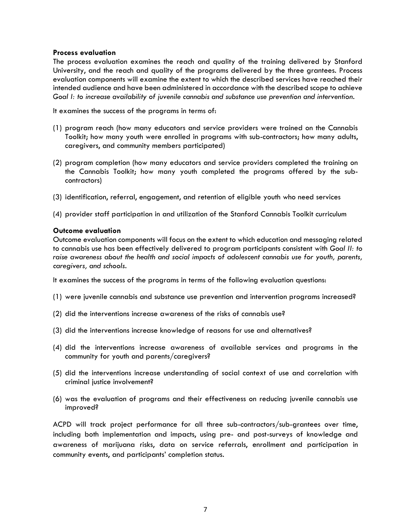#### **Process evaluation**

The process evaluation examines the reach and quality of the training delivered by Stanford University, and the reach and quality of the programs delivered by the three grantees. Process evaluation components will examine the extent to which the described services have reached their intended audience and have been administered in accordance with the described scope to achieve *Goal I: to increase availability of juvenile cannabis and substance use prevention and intervention.* 

It examines the success of the programs in terms of:

- (1) program reach (how many educators and service providers were trained on the Cannabis Toolkit; how many youth were enrolled in programs with sub-contractors; how many adults, caregivers, and community members participated)
- (2) program completion (how many educators and service providers completed the training on the Cannabis Toolkit; how many youth completed the programs offered by the subcontractors)
- (3) identification, referral, engagement, and retention of eligible youth who need services
- (4) provider staff participation in and utilization of the Stanford Cannabis Toolkit curriculum

#### **Outcome evaluation**

Outcome evaluation components will focus on the extent to which education and messaging related to cannabis use has been effectively delivered to program participants consistent with *Goal II: to raise awareness about the health and social impacts of adolescent cannabis use for youth, parents, caregivers, and schools.* 

It examines the success of the programs in terms of the following evaluation questions:

- (1) were juvenile cannabis and substance use prevention and intervention programs increased?
- (2) did the interventions increase awareness of the risks of cannabis use?
- (3) did the interventions increase knowledge of reasons for use and alternatives?
- (4) did the interventions increase awareness of available services and programs in the community for youth and parents/caregivers?
- (5) did the interventions increase understanding of social context of use and correlation with criminal justice involvement?
- (6) was the evaluation of programs and their effectiveness on reducing juvenile cannabis use improved?

ACPD will track project performance for all three sub-contractors/sub-grantees over time, including both implementation and impacts, using pre- and post-surveys of knowledge and awareness of marijuana risks, data on service referrals, enrollment and participation in community events, and participants' completion status.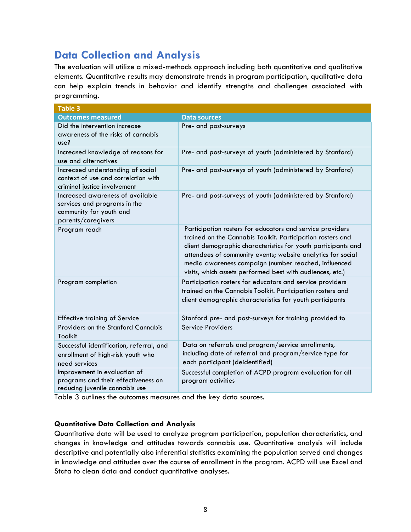# **Data Collection and Analysis**

The evaluation will utilize a mixed-methods approach including both quantitative and qualitative elements. Quantitative results may demonstrate trends in program participation, qualitative data can help explain trends in behavior and identify strengths and challenges associated with programming.

| <b>Table 3</b>                                                                                                    |                                                                                                                                                                                                                                                                                                                                                                              |  |  |  |  |
|-------------------------------------------------------------------------------------------------------------------|------------------------------------------------------------------------------------------------------------------------------------------------------------------------------------------------------------------------------------------------------------------------------------------------------------------------------------------------------------------------------|--|--|--|--|
| <b>Outcomes measured</b>                                                                                          | Data sources                                                                                                                                                                                                                                                                                                                                                                 |  |  |  |  |
| Did the intervention increase<br>awareness of the risks of cannabis<br>use?                                       | Pre- and post-surveys                                                                                                                                                                                                                                                                                                                                                        |  |  |  |  |
| Increased knowledge of reasons for<br>use and alternatives                                                        | Pre- and post-surveys of youth (administered by Stanford)                                                                                                                                                                                                                                                                                                                    |  |  |  |  |
| Increased understanding of social<br>context of use and correlation with<br>criminal justice involvement          | Pre- and post-surveys of youth (administered by Stanford)                                                                                                                                                                                                                                                                                                                    |  |  |  |  |
| Increased awareness of available<br>services and programs in the<br>community for youth and<br>parents/caregivers | Pre- and post-surveys of youth (administered by Stanford)                                                                                                                                                                                                                                                                                                                    |  |  |  |  |
| Program reach                                                                                                     | Participation rosters for educators and service providers<br>trained on the Cannabis Toolkit. Participation rosters and<br>client demographic characteristics for youth participants and<br>attendees of community events; website analytics for social<br>media awareness campaign (number reached, influenced<br>visits, which assets performed best with audiences, etc.) |  |  |  |  |
| Program completion                                                                                                | Participation rosters for educators and service providers<br>trained on the Cannabis Toolkit. Participation rosters and<br>client demographic characteristics for youth participants                                                                                                                                                                                         |  |  |  |  |
| <b>Effective training of Service</b><br>Providers on the Stanford Cannabis<br><b>Toolkit</b>                      | Stanford pre- and post-surveys for training provided to<br>Service Providers                                                                                                                                                                                                                                                                                                 |  |  |  |  |
| Successful identification, referral, and<br>enrollment of high-risk youth who<br>need services                    | Data on referrals and program/service enrollments,<br>including date of referral and program/service type for<br>each participant (deidentified)                                                                                                                                                                                                                             |  |  |  |  |
| Improvement in evaluation of<br>programs and their effectiveness on<br>reducing juvenile cannabis use             | Successful completion of ACPD program evaluation for all<br>program activities                                                                                                                                                                                                                                                                                               |  |  |  |  |

Table 3 outlines the outcomes measures and the key data sources.

# **Quantitative Data Collection and Analysis**

Quantitative data will be used to analyze program participation, population characteristics, and changes in knowledge and attitudes towards cannabis use. Quantitative analysis will include descriptive and potentially also inferential statistics examining the population served and changes in knowledge and attitudes over the course of enrollment in the program. ACPD will use Excel and Stata to clean data and conduct quantitative analyses.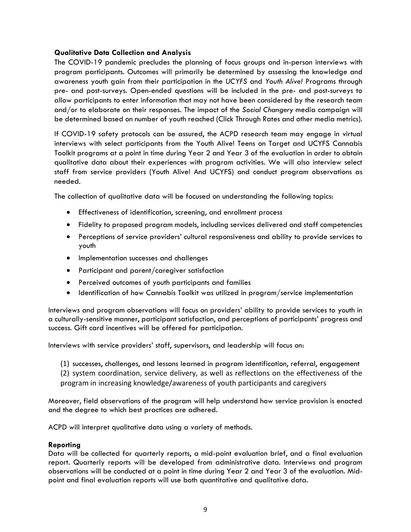## **Qualitative Data Collection and Analysis**

The COVID-19 pandemic precludes the planning of focus groups and in-person interviews with program participants. Outcomes will primarily be determined by assessing the knowledge and awareness youth gain from their participation in the *UCYFS* and *Youth Alive!* Programs through pre- and post-surveys. Open-ended questions will be included in the pre- and post-surveys to allow participants to enter information that may not have been considered by the research team and/or to elaborate on their responses. The impact of the *Social Changery* media campaign will be determined based on number of youth reached (Click Through Rates and other media metrics).

If COVID-19 safety protocols can be assured, the ACPD research team may engage in virtual interviews with select participants from the Youth Alive! Teens on Target and UCYFS Cannabis Toolkit programs at a point in time during Year 2 and Year 3 of the evaluation in order to obtain qualitative data about their experiences with program activities. We will also interview select staff from service providers (Youth Alive! And UCYFS) and conduct program observations as needed.

The collection of qualitative data will be focused on understanding the following topics:

- Effectiveness of identification, screening, and enrollment process
- Fidelity to proposed program models, including services delivered and staff competencies
- Perceptions of service providers' cultural responsiveness and ability to provide services to youth
- Implementation successes and challenges
- Participant and parent/caregiver satisfaction
- Perceived outcomes of youth participants and families
- Identification of how Cannabis Toolkit was utilized in program/service implementation

Interviews and program observations will focus on providers' ability to provide services to youth in a culturally-sensitive manner, participant satisfaction, and perceptions of participants' progress and success. Gift card incentives will be offered for participation.

Interviews with service providers' staff, supervisors, and leadership will focus on:

(1) successes, challenges, and lessons learned in program identification, referral, engagement

(2) system coordination, service delivery, as well as reflections on the effectiveness of the program in increasing knowledge/awareness of youth participants and caregivers

Moreover, field observations of the program will help understand how service provision is enacted and the degree to which best practices are adhered.

ACPD will interpret qualitative data using a variety of methods.

### **Reporting**

Data will be collected for quarterly reports, a mid-point evaluation brief, and a final evaluation report. Quarterly reports will be developed from administrative data. Interviews and program observations will be conducted at a point in time during Year 2 and Year 3 of the evaluation. Midpoint and final evaluation reports will use both quantitative and qualitative data.